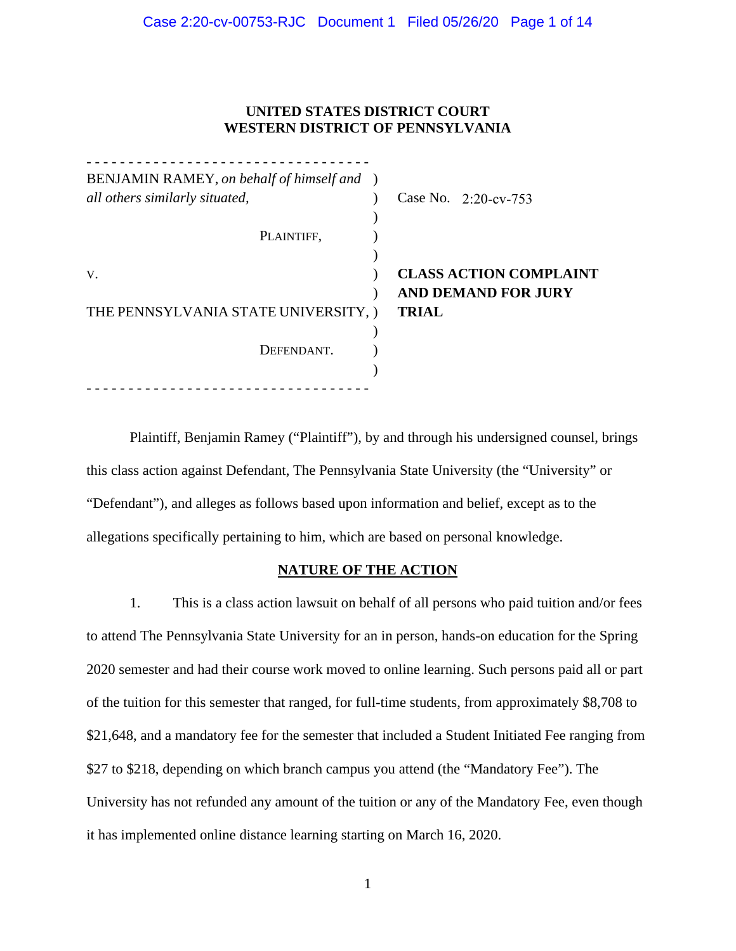#### **UNITED STATES DISTRICT COURT WESTERN DISTRICT OF PENNSYLVANIA**

| BENJAMIN RAMEY, on behalf of himself and ) |                               |
|--------------------------------------------|-------------------------------|
| all others similarly situated,             | Case No. $2:20$ -cv-753       |
| PLAINTIFF,                                 |                               |
|                                            |                               |
| V.                                         | <b>CLASS ACTION COMPLAINT</b> |
|                                            | <b>AND DEMAND FOR JURY</b>    |
| THE PENNSYLVANIA STATE UNIVERSITY, )       | <b>TRIAL</b>                  |
|                                            |                               |
| DEFENDANT.                                 |                               |
|                                            |                               |
|                                            |                               |

Plaintiff, Benjamin Ramey ("Plaintiff"), by and through his undersigned counsel, brings this class action against Defendant, The Pennsylvania State University (the "University" or "Defendant"), and alleges as follows based upon information and belief, except as to the allegations specifically pertaining to him, which are based on personal knowledge.

#### **NATURE OF THE ACTION**

1. This is a class action lawsuit on behalf of all persons who paid tuition and/or fees to attend The Pennsylvania State University for an in person, hands-on education for the Spring 2020 semester and had their course work moved to online learning. Such persons paid all or part of the tuition for this semester that ranged, for full-time students, from approximately \$8,708 to \$21,648, and a mandatory fee for the semester that included a Student Initiated Fee ranging from \$27 to \$218, depending on which branch campus you attend (the "Mandatory Fee"). The University has not refunded any amount of the tuition or any of the Mandatory Fee, even though it has implemented online distance learning starting on March 16, 2020.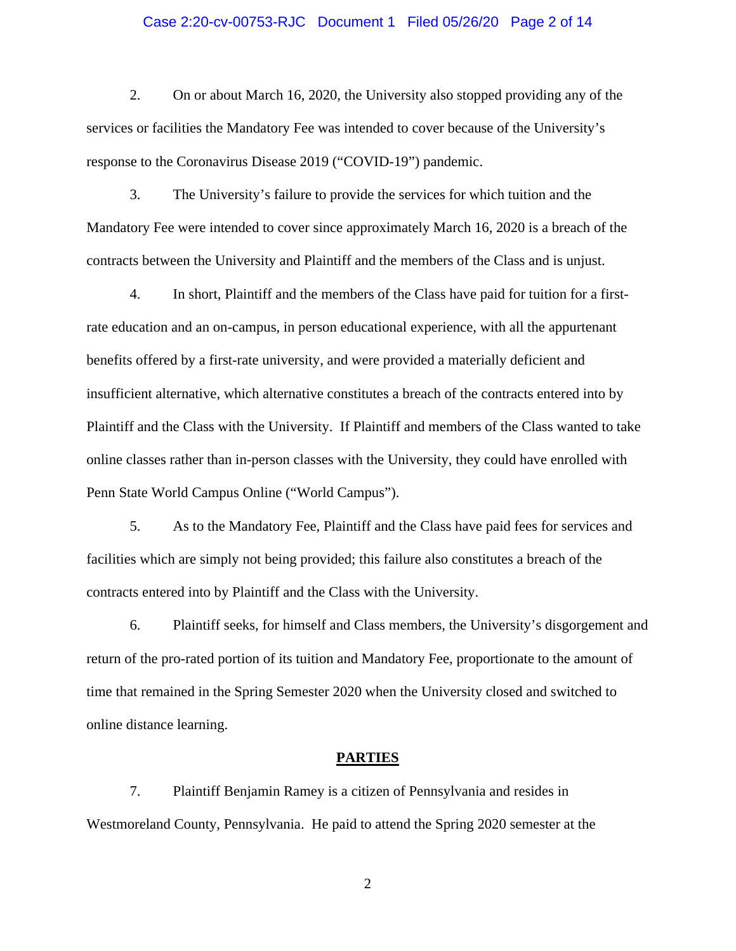#### Case 2:20-cv-00753-RJC Document 1 Filed 05/26/20 Page 2 of 14

2. On or about March 16, 2020, the University also stopped providing any of the services or facilities the Mandatory Fee was intended to cover because of the University's response to the Coronavirus Disease 2019 ("COVID-19") pandemic.

3. The University's failure to provide the services for which tuition and the Mandatory Fee were intended to cover since approximately March 16, 2020 is a breach of the contracts between the University and Plaintiff and the members of the Class and is unjust.

4. In short, Plaintiff and the members of the Class have paid for tuition for a firstrate education and an on-campus, in person educational experience, with all the appurtenant benefits offered by a first-rate university, and were provided a materially deficient and insufficient alternative, which alternative constitutes a breach of the contracts entered into by Plaintiff and the Class with the University. If Plaintiff and members of the Class wanted to take online classes rather than in-person classes with the University, they could have enrolled with Penn State World Campus Online ("World Campus").

5. As to the Mandatory Fee, Plaintiff and the Class have paid fees for services and facilities which are simply not being provided; this failure also constitutes a breach of the contracts entered into by Plaintiff and the Class with the University.

6. Plaintiff seeks, for himself and Class members, the University's disgorgement and return of the pro-rated portion of its tuition and Mandatory Fee, proportionate to the amount of time that remained in the Spring Semester 2020 when the University closed and switched to online distance learning.

#### **PARTIES**

7. Plaintiff Benjamin Ramey is a citizen of Pennsylvania and resides in Westmoreland County, Pennsylvania. He paid to attend the Spring 2020 semester at the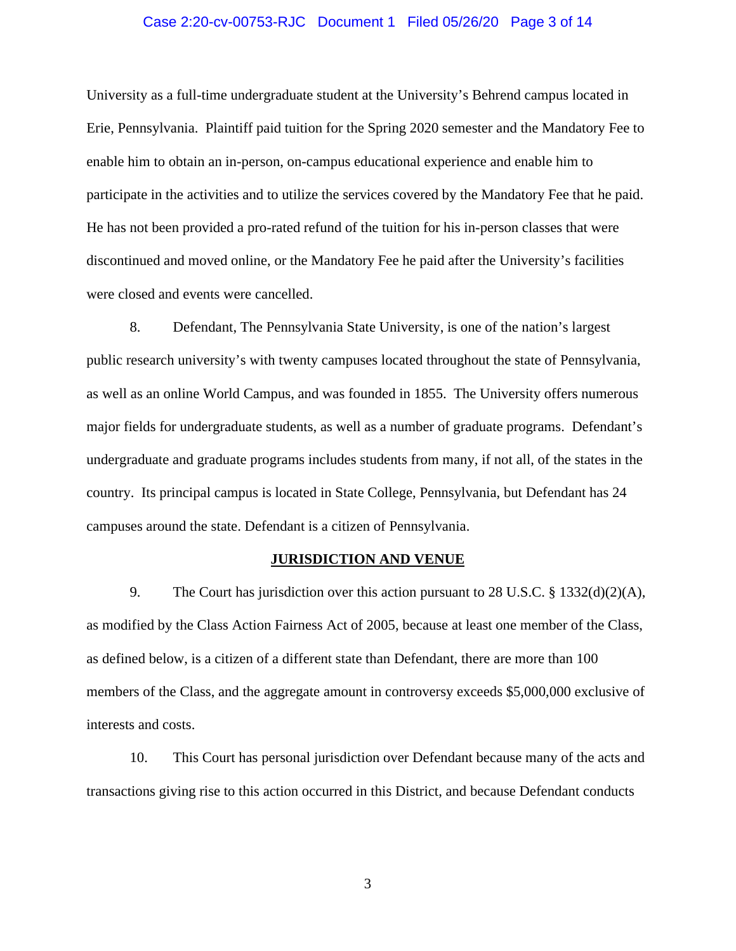#### Case 2:20-cv-00753-RJC Document 1 Filed 05/26/20 Page 3 of 14

University as a full-time undergraduate student at the University's Behrend campus located in Erie, Pennsylvania. Plaintiff paid tuition for the Spring 2020 semester and the Mandatory Fee to enable him to obtain an in-person, on-campus educational experience and enable him to participate in the activities and to utilize the services covered by the Mandatory Fee that he paid. He has not been provided a pro-rated refund of the tuition for his in-person classes that were discontinued and moved online, or the Mandatory Fee he paid after the University's facilities were closed and events were cancelled.

8. Defendant, The Pennsylvania State University, is one of the nation's largest public research university's with twenty campuses located throughout the state of Pennsylvania, as well as an online World Campus, and was founded in 1855. The University offers numerous major fields for undergraduate students, as well as a number of graduate programs. Defendant's undergraduate and graduate programs includes students from many, if not all, of the states in the country. Its principal campus is located in State College, Pennsylvania, but Defendant has 24 campuses around the state. Defendant is a citizen of Pennsylvania.

#### **JURISDICTION AND VENUE**

9. The Court has jurisdiction over this action pursuant to 28 U.S.C.  $\S 1332(d)(2)(A)$ , as modified by the Class Action Fairness Act of 2005, because at least one member of the Class, as defined below, is a citizen of a different state than Defendant, there are more than 100 members of the Class, and the aggregate amount in controversy exceeds \$5,000,000 exclusive of interests and costs.

10. This Court has personal jurisdiction over Defendant because many of the acts and transactions giving rise to this action occurred in this District, and because Defendant conducts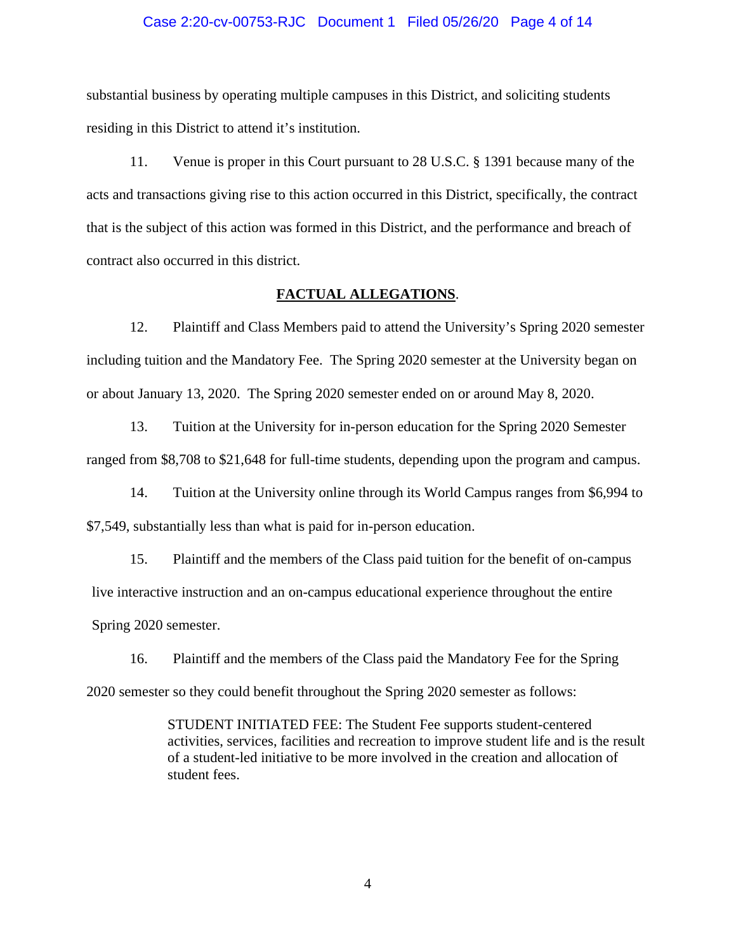#### Case 2:20-cv-00753-RJC Document 1 Filed 05/26/20 Page 4 of 14

substantial business by operating multiple campuses in this District, and soliciting students residing in this District to attend it's institution.

11. Venue is proper in this Court pursuant to 28 U.S.C. § 1391 because many of the acts and transactions giving rise to this action occurred in this District, specifically, the contract that is the subject of this action was formed in this District, and the performance and breach of contract also occurred in this district.

#### **FACTUAL ALLEGATIONS**.

12. Plaintiff and Class Members paid to attend the University's Spring 2020 semester including tuition and the Mandatory Fee. The Spring 2020 semester at the University began on or about January 13, 2020. The Spring 2020 semester ended on or around May 8, 2020.

13. Tuition at the University for in-person education for the Spring 2020 Semester ranged from \$8,708 to \$21,648 for full-time students, depending upon the program and campus.

14. Tuition at the University online through its World Campus ranges from \$6,994 to \$7,549, substantially less than what is paid for in-person education.

15. Plaintiff and the members of the Class paid tuition for the benefit of on-campus live interactive instruction and an on-campus educational experience throughout the entire Spring 2020 semester.

16. Plaintiff and the members of the Class paid the Mandatory Fee for the Spring 2020 semester so they could benefit throughout the Spring 2020 semester as follows:

> STUDENT INITIATED FEE: The Student Fee supports student-centered activities, services, facilities and recreation to improve student life and is the result of a student-led initiative to be more involved in the creation and allocation of student fees.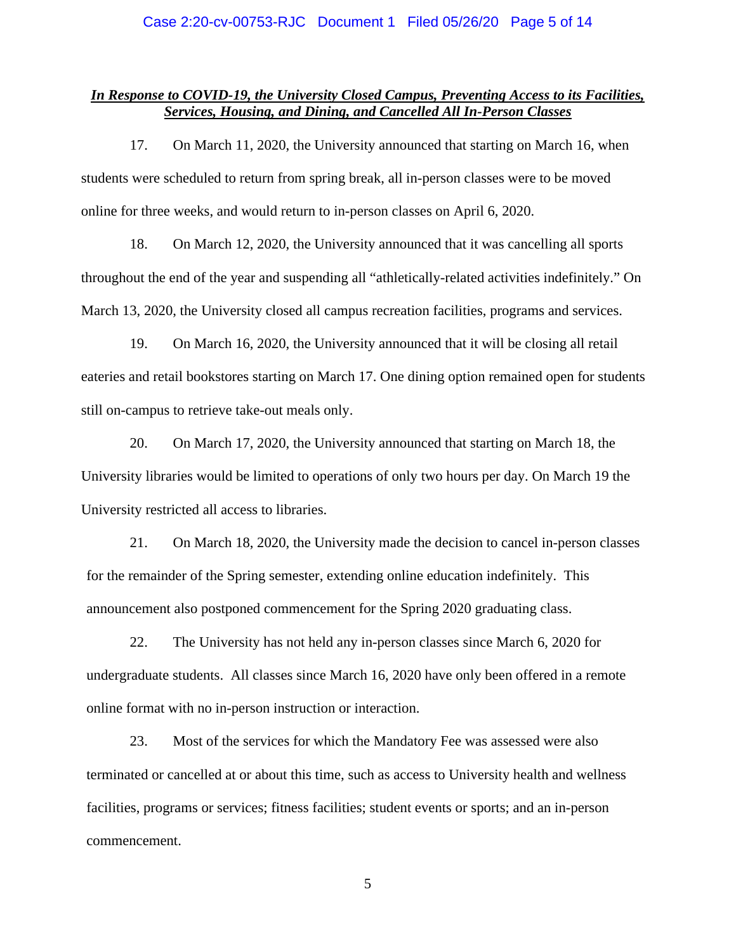#### *In Response to COVID-19, the University Closed Campus, Preventing Access to its Facilities, Services, Housing, and Dining, and Cancelled All In-Person Classes*

17. On March 11, 2020, the University announced that starting on March 16, when students were scheduled to return from spring break, all in-person classes were to be moved online for three weeks, and would return to in-person classes on April 6, 2020.

18. On March 12, 2020, the University announced that it was cancelling all sports throughout the end of the year and suspending all "athletically-related activities indefinitely." On March 13, 2020, the University closed all campus recreation facilities, programs and services.

19. On March 16, 2020, the University announced that it will be closing all retail eateries and retail bookstores starting on March 17. One dining option remained open for students still on-campus to retrieve take-out meals only.

20. On March 17, 2020, the University announced that starting on March 18, the University libraries would be limited to operations of only two hours per day. On March 19 the University restricted all access to libraries.

21. On March 18, 2020, the University made the decision to cancel in-person classes for the remainder of the Spring semester, extending online education indefinitely. This announcement also postponed commencement for the Spring 2020 graduating class.

22. The University has not held any in-person classes since March 6, 2020 for undergraduate students. All classes since March 16, 2020 have only been offered in a remote online format with no in-person instruction or interaction.

23. Most of the services for which the Mandatory Fee was assessed were also terminated or cancelled at or about this time, such as access to University health and wellness facilities, programs or services; fitness facilities; student events or sports; and an in-person commencement.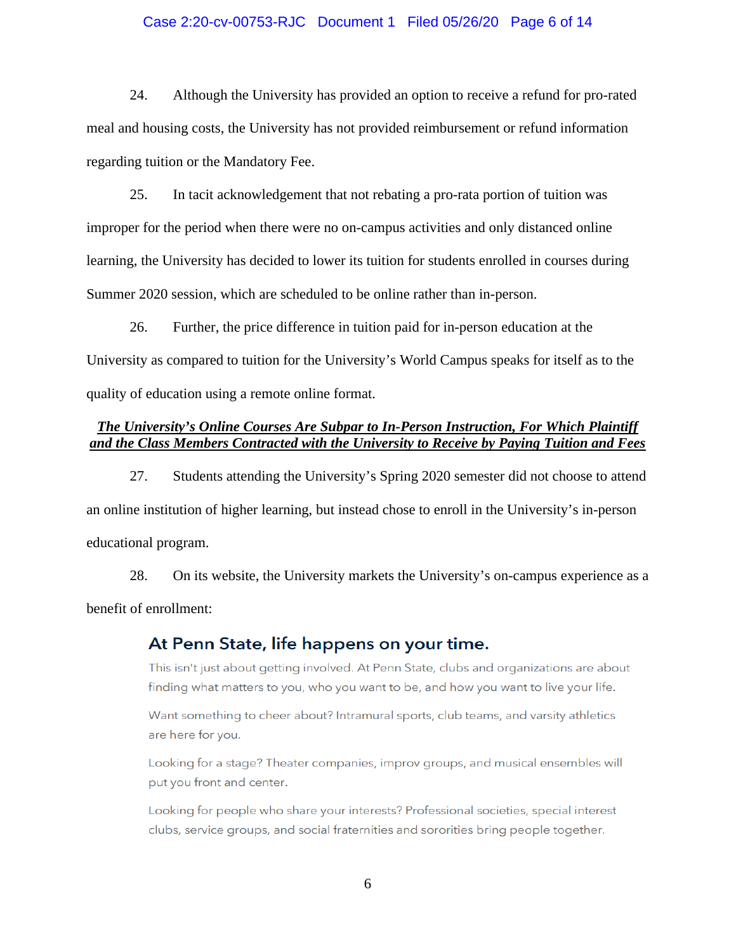#### Case 2:20-cv-00753-RJC Document 1 Filed 05/26/20 Page 6 of 14

24. Although the University has provided an option to receive a refund for pro-rated meal and housing costs, the University has not provided reimbursement or refund information regarding tuition or the Mandatory Fee.

25. In tacit acknowledgement that not rebating a pro-rata portion of tuition was improper for the period when there were no on-campus activities and only distanced online learning, the University has decided to lower its tuition for students enrolled in courses during Summer 2020 session, which are scheduled to be online rather than in-person.

26. Further, the price difference in tuition paid for in-person education at the University as compared to tuition for the University's World Campus speaks for itself as to the quality of education using a remote online format.

#### *The University's Online Courses Are Subpar to In-Person Instruction, For Which Plaintiff and the Class Members Contracted with the University to Receive by Paying Tuition and Fees*

27. Students attending the University's Spring 2020 semester did not choose to attend an online institution of higher learning, but instead chose to enroll in the University's in-person educational program.

28. On its website, the University markets the University's on-campus experience as a benefit of enrollment:

### At Penn State, life happens on your time.

This isn't just about getting involved. At Penn State, clubs and organizations are about finding what matters to you, who you want to be, and how you want to live your life.

Want something to cheer about? Intramural sports, club teams, and varsity athletics are here for you.

Looking for a stage? Theater companies, improv groups, and musical ensembles will put you front and center.

Looking for people who share your interests? Professional societies, special interest clubs, service groups, and social fraternities and sororities bring people together.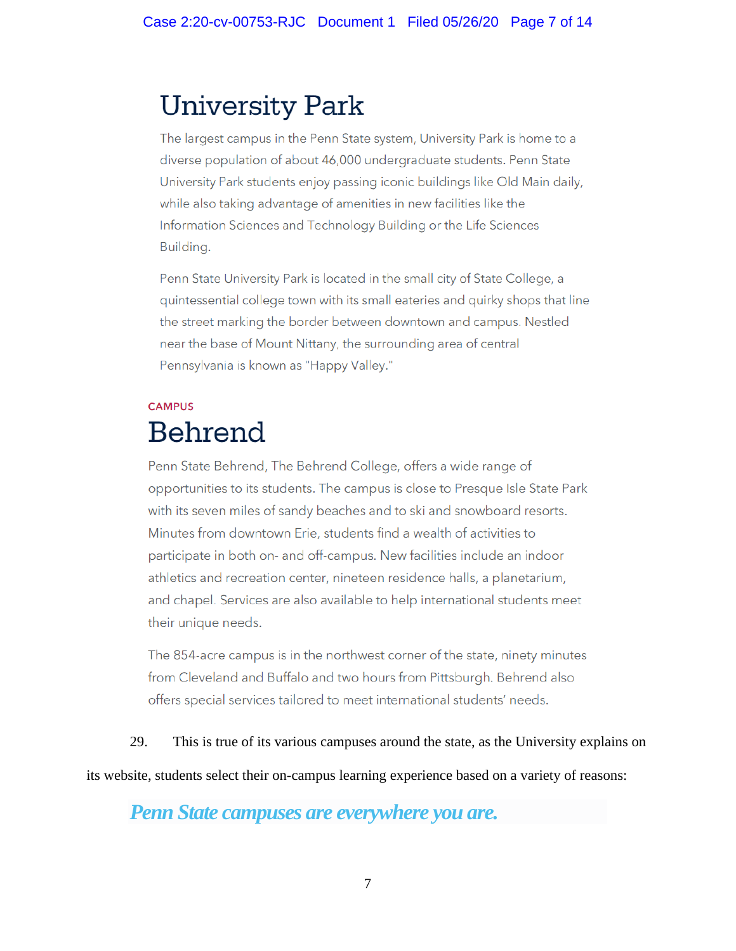# **University Park**

The largest campus in the Penn State system, University Park is home to a diverse population of about 46,000 undergraduate students. Penn State University Park students enjoy passing iconic buildings like Old Main daily, while also taking advantage of amenities in new facilities like the Information Sciences and Technology Building or the Life Sciences Building.

Penn State University Park is located in the small city of State College, a quintessential college town with its small eateries and quirky shops that line the street marking the border between downtown and campus. Nestled near the base of Mount Nittany, the surrounding area of central Pennsylvania is known as "Happy Valley."

# **CAMPUS Behrend**

Penn State Behrend, The Behrend College, offers a wide range of opportunities to its students. The campus is close to Presque Isle State Park with its seven miles of sandy beaches and to ski and snowboard resorts. Minutes from downtown Erie, students find a wealth of activities to participate in both on- and off-campus. New facilities include an indoor athletics and recreation center, nineteen residence halls, a planetarium, and chapel. Services are also available to help international students meet their unique needs.

The 854-acre campus is in the northwest corner of the state, ninety minutes from Cleveland and Buffalo and two hours from Pittsburgh. Behrend also offers special services tailored to meet international students' needs.

29. This is true of its various campuses around the state, as the University explains on

its website, students select their on-campus learning experience based on a variety of reasons:

*Penn State campuses are everywhere you are.*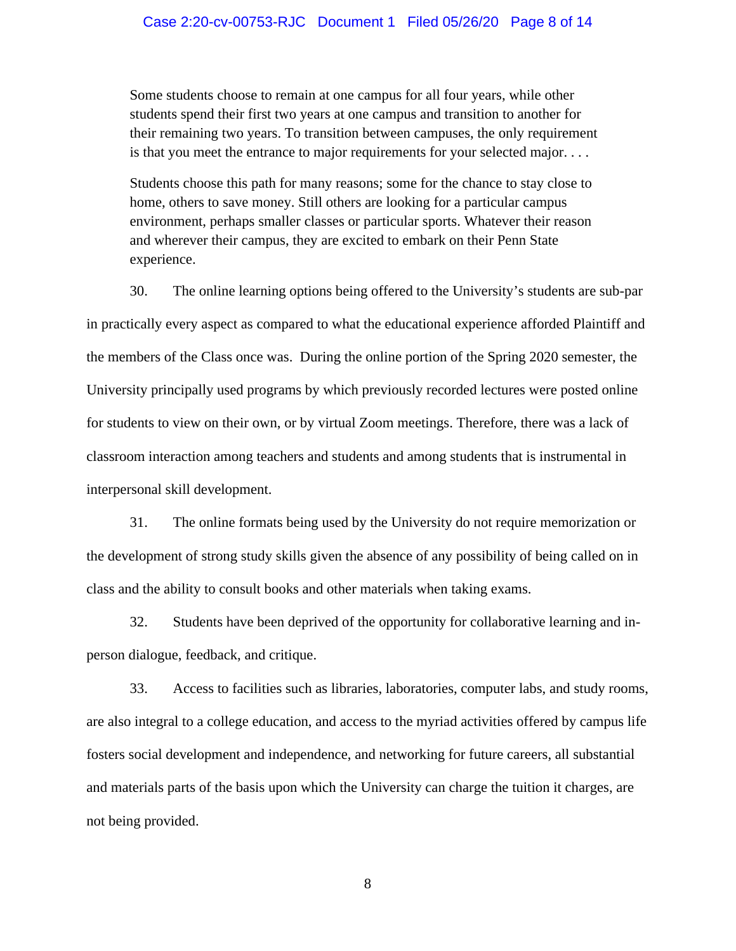Some students choose to remain at one campus for all four years, while other students spend their first two years at one campus and transition to another for their remaining two years. To transition between campuses, the only requirement is that you meet the entrance to major requirements for your selected major. . . .

Students choose this path for many reasons; some for the chance to stay close to home, others to save money. Still others are looking for a particular campus environment, perhaps smaller classes or particular sports. Whatever their reason and wherever their campus, they are excited to embark on their Penn State experience.

30. The online learning options being offered to the University's students are sub-par in practically every aspect as compared to what the educational experience afforded Plaintiff and the members of the Class once was. During the online portion of the Spring 2020 semester, the University principally used programs by which previously recorded lectures were posted online for students to view on their own, or by virtual Zoom meetings. Therefore, there was a lack of classroom interaction among teachers and students and among students that is instrumental in interpersonal skill development.

31. The online formats being used by the University do not require memorization or the development of strong study skills given the absence of any possibility of being called on in class and the ability to consult books and other materials when taking exams.

32. Students have been deprived of the opportunity for collaborative learning and inperson dialogue, feedback, and critique.

33. Access to facilities such as libraries, laboratories, computer labs, and study rooms, are also integral to a college education, and access to the myriad activities offered by campus life fosters social development and independence, and networking for future careers, all substantial and materials parts of the basis upon which the University can charge the tuition it charges, are not being provided.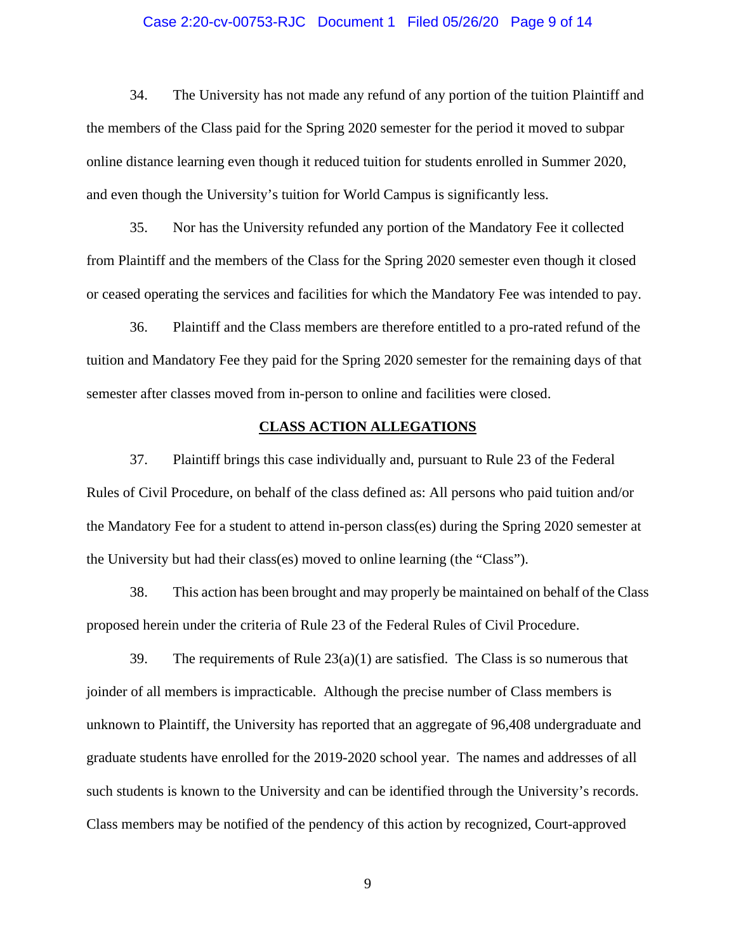#### Case 2:20-cv-00753-RJC Document 1 Filed 05/26/20 Page 9 of 14

34. The University has not made any refund of any portion of the tuition Plaintiff and the members of the Class paid for the Spring 2020 semester for the period it moved to subpar online distance learning even though it reduced tuition for students enrolled in Summer 2020, and even though the University's tuition for World Campus is significantly less.

35. Nor has the University refunded any portion of the Mandatory Fee it collected from Plaintiff and the members of the Class for the Spring 2020 semester even though it closed or ceased operating the services and facilities for which the Mandatory Fee was intended to pay.

36. Plaintiff and the Class members are therefore entitled to a pro-rated refund of the tuition and Mandatory Fee they paid for the Spring 2020 semester for the remaining days of that semester after classes moved from in-person to online and facilities were closed.

#### **CLASS ACTION ALLEGATIONS**

37. Plaintiff brings this case individually and, pursuant to Rule 23 of the Federal Rules of Civil Procedure, on behalf of the class defined as: All persons who paid tuition and/or the Mandatory Fee for a student to attend in-person class(es) during the Spring 2020 semester at the University but had their class(es) moved to online learning (the "Class").

38. This action has been brought and may properly be maintained on behalf of the Class proposed herein under the criteria of Rule 23 of the Federal Rules of Civil Procedure.

39. The requirements of Rule  $23(a)(1)$  are satisfied. The Class is so numerous that joinder of all members is impracticable. Although the precise number of Class members is unknown to Plaintiff, the University has reported that an aggregate of 96,408 undergraduate and graduate students have enrolled for the 2019-2020 school year. The names and addresses of all such students is known to the University and can be identified through the University's records. Class members may be notified of the pendency of this action by recognized, Court-approved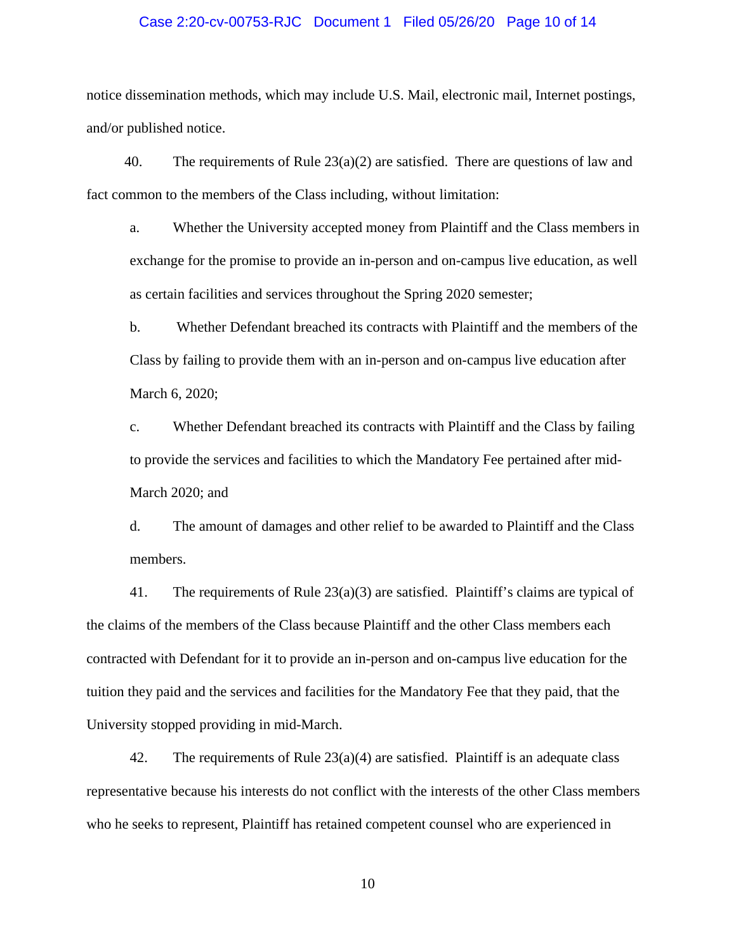#### Case 2:20-cv-00753-RJC Document 1 Filed 05/26/20 Page 10 of 14

notice dissemination methods, which may include U.S. Mail, electronic mail, Internet postings, and/or published notice.

40. The requirements of Rule  $23(a)(2)$  are satisfied. There are questions of law and fact common to the members of the Class including, without limitation:

a. Whether the University accepted money from Plaintiff and the Class members in exchange for the promise to provide an in-person and on-campus live education, as well as certain facilities and services throughout the Spring 2020 semester;

b. Whether Defendant breached its contracts with Plaintiff and the members of the Class by failing to provide them with an in-person and on-campus live education after March 6, 2020;

c. Whether Defendant breached its contracts with Plaintiff and the Class by failing to provide the services and facilities to which the Mandatory Fee pertained after mid-March 2020; and

d. The amount of damages and other relief to be awarded to Plaintiff and the Class members.

41. The requirements of Rule  $23(a)(3)$  are satisfied. Plaintiff's claims are typical of the claims of the members of the Class because Plaintiff and the other Class members each contracted with Defendant for it to provide an in-person and on-campus live education for the tuition they paid and the services and facilities for the Mandatory Fee that they paid, that the University stopped providing in mid-March.

42. The requirements of Rule  $23(a)(4)$  are satisfied. Plaintiff is an adequate class representative because his interests do not conflict with the interests of the other Class members who he seeks to represent, Plaintiff has retained competent counsel who are experienced in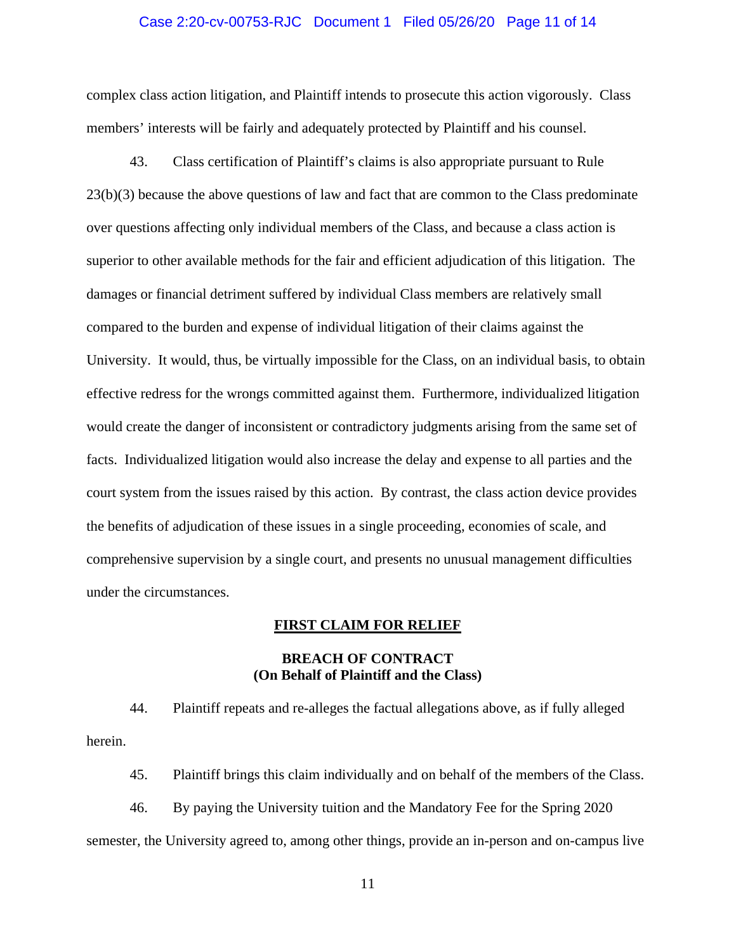#### Case 2:20-cv-00753-RJC Document 1 Filed 05/26/20 Page 11 of 14

complex class action litigation, and Plaintiff intends to prosecute this action vigorously. Class members' interests will be fairly and adequately protected by Plaintiff and his counsel.

43. Class certification of Plaintiff's claims is also appropriate pursuant to Rule 23(b)(3) because the above questions of law and fact that are common to the Class predominate over questions affecting only individual members of the Class, and because a class action is superior to other available methods for the fair and efficient adjudication of this litigation. The damages or financial detriment suffered by individual Class members are relatively small compared to the burden and expense of individual litigation of their claims against the University. It would, thus, be virtually impossible for the Class, on an individual basis, to obtain effective redress for the wrongs committed against them. Furthermore, individualized litigation would create the danger of inconsistent or contradictory judgments arising from the same set of facts. Individualized litigation would also increase the delay and expense to all parties and the court system from the issues raised by this action. By contrast, the class action device provides the benefits of adjudication of these issues in a single proceeding, economies of scale, and comprehensive supervision by a single court, and presents no unusual management difficulties under the circumstances.

#### **FIRST CLAIM FOR RELIEF**

#### **BREACH OF CONTRACT (On Behalf of Plaintiff and the Class)**

44. Plaintiff repeats and re-alleges the factual allegations above, as if fully alleged herein.

45. Plaintiff brings this claim individually and on behalf of the members of the Class.

46. By paying the University tuition and the Mandatory Fee for the Spring 2020 semester, the University agreed to, among other things, provide an in-person and on-campus live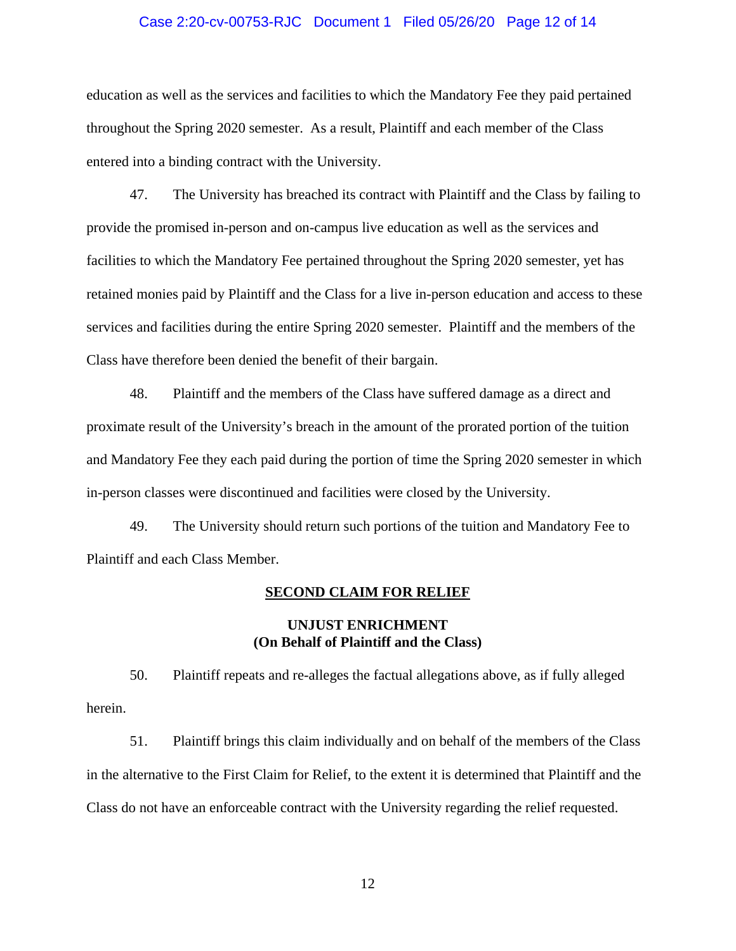#### Case 2:20-cv-00753-RJC Document 1 Filed 05/26/20 Page 12 of 14

education as well as the services and facilities to which the Mandatory Fee they paid pertained throughout the Spring 2020 semester. As a result, Plaintiff and each member of the Class entered into a binding contract with the University.

47. The University has breached its contract with Plaintiff and the Class by failing to provide the promised in-person and on-campus live education as well as the services and facilities to which the Mandatory Fee pertained throughout the Spring 2020 semester, yet has retained monies paid by Plaintiff and the Class for a live in-person education and access to these services and facilities during the entire Spring 2020 semester. Plaintiff and the members of the Class have therefore been denied the benefit of their bargain.

48. Plaintiff and the members of the Class have suffered damage as a direct and proximate result of the University's breach in the amount of the prorated portion of the tuition and Mandatory Fee they each paid during the portion of time the Spring 2020 semester in which in-person classes were discontinued and facilities were closed by the University.

49. The University should return such portions of the tuition and Mandatory Fee to Plaintiff and each Class Member.

#### **SECOND CLAIM FOR RELIEF**

#### **UNJUST ENRICHMENT (On Behalf of Plaintiff and the Class)**

50. Plaintiff repeats and re-alleges the factual allegations above, as if fully alleged herein.

51. Plaintiff brings this claim individually and on behalf of the members of the Class in the alternative to the First Claim for Relief, to the extent it is determined that Plaintiff and the Class do not have an enforceable contract with the University regarding the relief requested.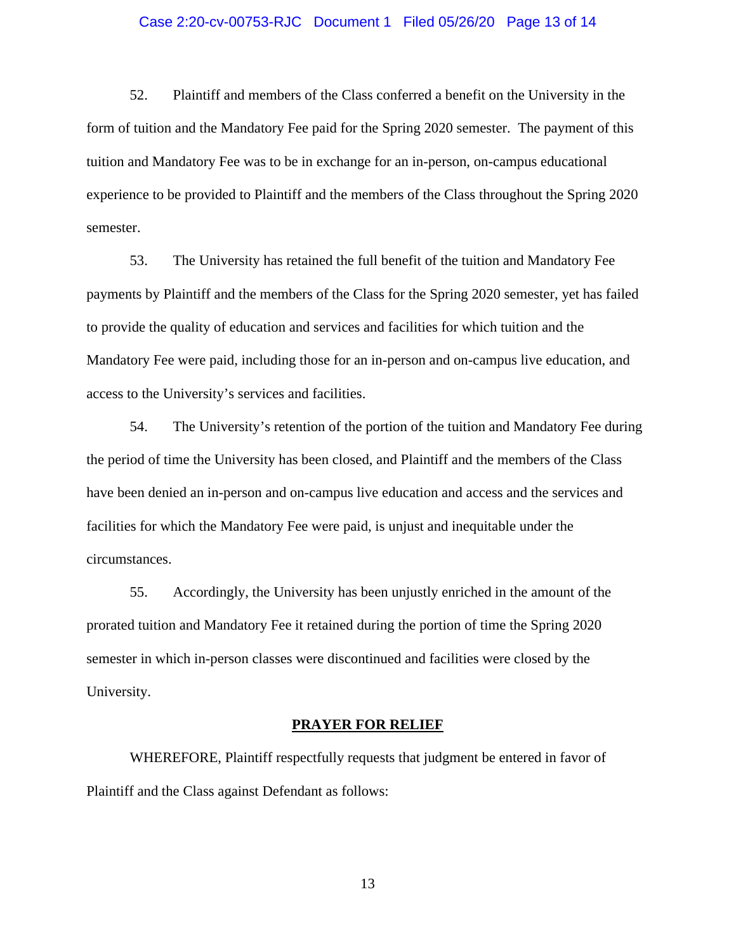#### Case 2:20-cv-00753-RJC Document 1 Filed 05/26/20 Page 13 of 14

52. Plaintiff and members of the Class conferred a benefit on the University in the form of tuition and the Mandatory Fee paid for the Spring 2020 semester. The payment of this tuition and Mandatory Fee was to be in exchange for an in-person, on-campus educational experience to be provided to Plaintiff and the members of the Class throughout the Spring 2020 semester.

53. The University has retained the full benefit of the tuition and Mandatory Fee payments by Plaintiff and the members of the Class for the Spring 2020 semester, yet has failed to provide the quality of education and services and facilities for which tuition and the Mandatory Fee were paid, including those for an in-person and on-campus live education, and access to the University's services and facilities.

54. The University's retention of the portion of the tuition and Mandatory Fee during the period of time the University has been closed, and Plaintiff and the members of the Class have been denied an in-person and on-campus live education and access and the services and facilities for which the Mandatory Fee were paid, is unjust and inequitable under the circumstances.

55. Accordingly, the University has been unjustly enriched in the amount of the prorated tuition and Mandatory Fee it retained during the portion of time the Spring 2020 semester in which in-person classes were discontinued and facilities were closed by the University.

#### **PRAYER FOR RELIEF**

WHEREFORE, Plaintiff respectfully requests that judgment be entered in favor of Plaintiff and the Class against Defendant as follows: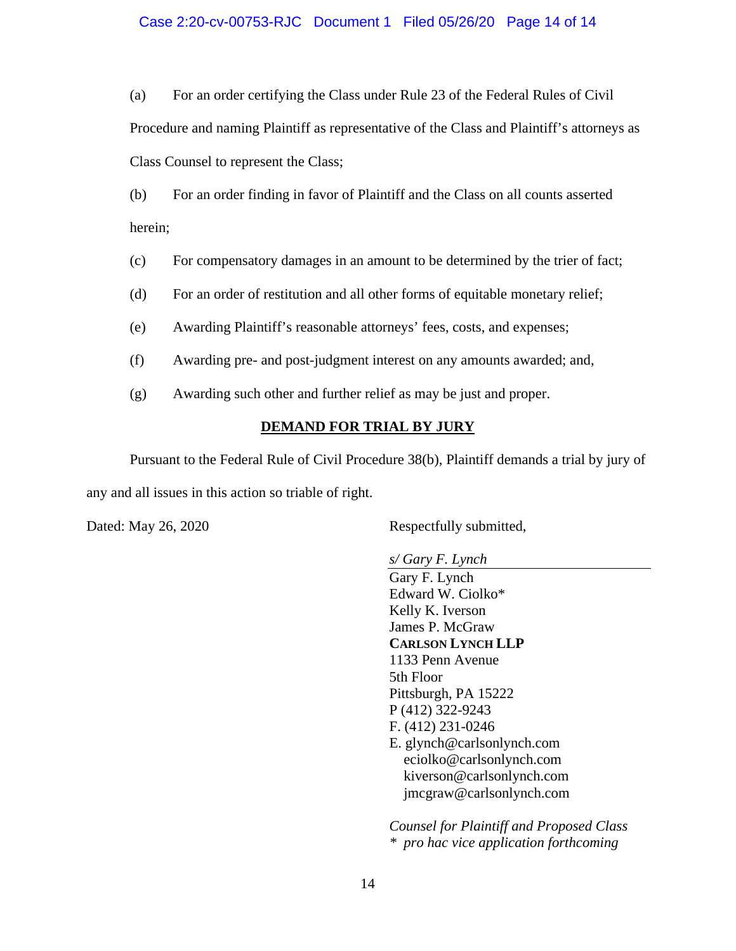#### Case 2:20-cv-00753-RJC Document 1 Filed 05/26/20 Page 14 of 14

(a) For an order certifying the Class under Rule 23 of the Federal Rules of Civil

Procedure and naming Plaintiff as representative of the Class and Plaintiff's attorneys as Class Counsel to represent the Class;

(b) For an order finding in favor of Plaintiff and the Class on all counts asserted herein;

- (c) For compensatory damages in an amount to be determined by the trier of fact;
- (d) For an order of restitution and all other forms of equitable monetary relief;
- (e) Awarding Plaintiff's reasonable attorneys' fees, costs, and expenses;
- (f) Awarding pre- and post-judgment interest on any amounts awarded; and,
- (g) Awarding such other and further relief as may be just and proper.

#### **DEMAND FOR TRIAL BY JURY**

Pursuant to the Federal Rule of Civil Procedure 38(b), Plaintiff demands a trial by jury of

any and all issues in this action so triable of right.

Dated: May 26, 2020 Respectfully submitted,

*s/ Gary F. Lynch*

Gary F. Lynch Edward W. Ciolko\* Kelly K. Iverson James P. McGraw **CARLSON LYNCH LLP** 1133 Penn Avenue 5th Floor Pittsburgh, PA 15222 P (412) 322-9243 F. (412) 231-0246 E. glynch@carlsonlynch.com [eciolko@carlsonlynch.com](mailto:eciolko@carlsonlynch.com) [kiverson@carlsonlynch.com](mailto:kiverson@carlsonlynch.com) jmcgraw@carlsonlynch.com

*Counsel for Plaintiff and Proposed Class \* pro hac vice application forthcoming*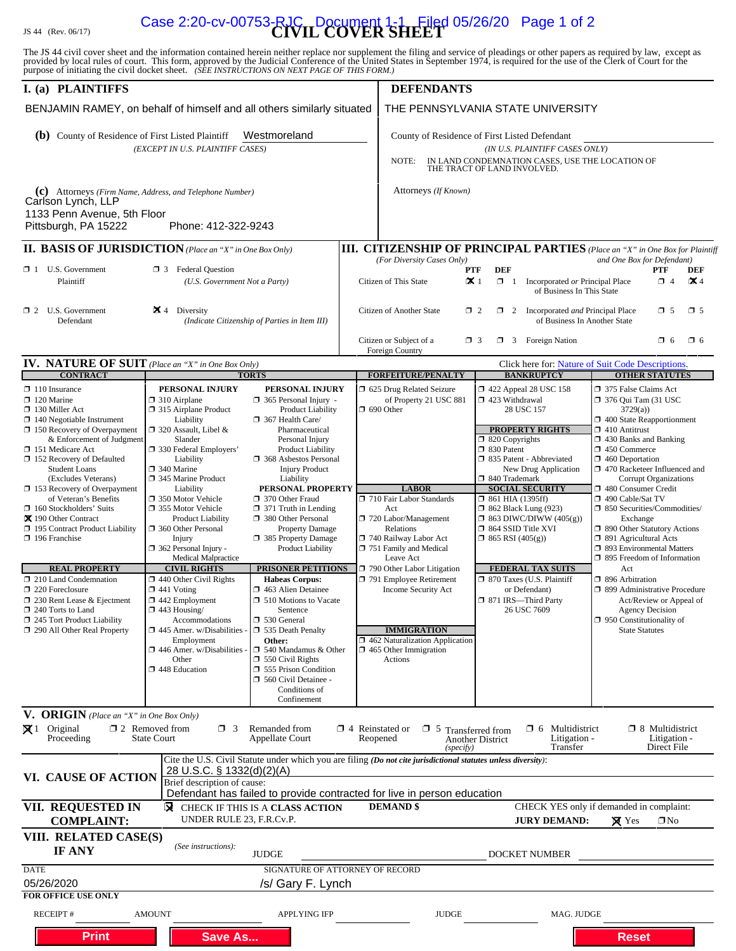# JS 44 (Rev. 06/17) **CIVIL COVER SHEET** Case 2:20-cv-00753-RJC Document 1-1 Filed 05/26/20 Page 1 of 2

The JS 44 civil cover sheet and the information contained herein neither replace nor supplement the filing and service of pleadings or other papers as required by law, except as provided by local rules of court. This form,

| I. (a) PLAINTIFFS                                                                                                                                                                                                                                                                                                                                                                                                                                                                                                                                                                                                                                          |                                                                                                                                                                                                                                                                                                                                                                                                                                                                                                                                                                                                                                                               |                                                                                                                                                                                                                                                                                                                                                                                                                                                                                                                                                                                                                                                                                                                                                       | <b>DEFENDANTS</b>                                                                                                                                                                                                                                                                                                                                                                                                     |                                                                                                                                                                                                                       |                                                                                                                                                                                                                                                                                    |                                                                                                                                                                                                                                                                                                                                                                                                                                                                                                                                                                                                                                                                                                                         |                                                       |             |
|------------------------------------------------------------------------------------------------------------------------------------------------------------------------------------------------------------------------------------------------------------------------------------------------------------------------------------------------------------------------------------------------------------------------------------------------------------------------------------------------------------------------------------------------------------------------------------------------------------------------------------------------------------|---------------------------------------------------------------------------------------------------------------------------------------------------------------------------------------------------------------------------------------------------------------------------------------------------------------------------------------------------------------------------------------------------------------------------------------------------------------------------------------------------------------------------------------------------------------------------------------------------------------------------------------------------------------|-------------------------------------------------------------------------------------------------------------------------------------------------------------------------------------------------------------------------------------------------------------------------------------------------------------------------------------------------------------------------------------------------------------------------------------------------------------------------------------------------------------------------------------------------------------------------------------------------------------------------------------------------------------------------------------------------------------------------------------------------------|-----------------------------------------------------------------------------------------------------------------------------------------------------------------------------------------------------------------------------------------------------------------------------------------------------------------------------------------------------------------------------------------------------------------------|-----------------------------------------------------------------------------------------------------------------------------------------------------------------------------------------------------------------------|------------------------------------------------------------------------------------------------------------------------------------------------------------------------------------------------------------------------------------------------------------------------------------|-------------------------------------------------------------------------------------------------------------------------------------------------------------------------------------------------------------------------------------------------------------------------------------------------------------------------------------------------------------------------------------------------------------------------------------------------------------------------------------------------------------------------------------------------------------------------------------------------------------------------------------------------------------------------------------------------------------------------|-------------------------------------------------------|-------------|
| BENJAMIN RAMEY, on behalf of himself and all others similarly situated                                                                                                                                                                                                                                                                                                                                                                                                                                                                                                                                                                                     |                                                                                                                                                                                                                                                                                                                                                                                                                                                                                                                                                                                                                                                               |                                                                                                                                                                                                                                                                                                                                                                                                                                                                                                                                                                                                                                                                                                                                                       | THE PENNSYLVANIA STATE UNIVERSITY                                                                                                                                                                                                                                                                                                                                                                                     |                                                                                                                                                                                                                       |                                                                                                                                                                                                                                                                                    |                                                                                                                                                                                                                                                                                                                                                                                                                                                                                                                                                                                                                                                                                                                         |                                                       |             |
| Westmoreland<br><b>(b)</b> County of Residence of First Listed Plaintiff<br>(EXCEPT IN U.S. PLAINTIFF CASES)                                                                                                                                                                                                                                                                                                                                                                                                                                                                                                                                               |                                                                                                                                                                                                                                                                                                                                                                                                                                                                                                                                                                                                                                                               |                                                                                                                                                                                                                                                                                                                                                                                                                                                                                                                                                                                                                                                                                                                                                       | County of Residence of First Listed Defendant<br>(IN U.S. PLAINTIFF CASES ONLY)<br>IN LAND CONDEMNATION CASES, USE THE LOCATION OF<br>NOTE:<br>THE TRACT OF LAND INVOLVED.                                                                                                                                                                                                                                            |                                                                                                                                                                                                                       |                                                                                                                                                                                                                                                                                    |                                                                                                                                                                                                                                                                                                                                                                                                                                                                                                                                                                                                                                                                                                                         |                                                       |             |
| (c) Attorneys (Firm Name, Address, and Telephone Number)<br>Carlson Lynch, LLP<br>1133 Penn Avenue, 5th Floor<br>Pittsburgh, PA 15222                                                                                                                                                                                                                                                                                                                                                                                                                                                                                                                      | Phone: 412-322-9243                                                                                                                                                                                                                                                                                                                                                                                                                                                                                                                                                                                                                                           |                                                                                                                                                                                                                                                                                                                                                                                                                                                                                                                                                                                                                                                                                                                                                       | Attorneys (If Known)                                                                                                                                                                                                                                                                                                                                                                                                  |                                                                                                                                                                                                                       |                                                                                                                                                                                                                                                                                    |                                                                                                                                                                                                                                                                                                                                                                                                                                                                                                                                                                                                                                                                                                                         |                                                       |             |
| <b>II. BASIS OF JURISDICTION</b> (Place an "X" in One Box Only)                                                                                                                                                                                                                                                                                                                                                                                                                                                                                                                                                                                            |                                                                                                                                                                                                                                                                                                                                                                                                                                                                                                                                                                                                                                                               |                                                                                                                                                                                                                                                                                                                                                                                                                                                                                                                                                                                                                                                                                                                                                       | <b>III. CITIZENSHIP OF PRINCIPAL PARTIES</b> (Place an "X" in One Box for Plaintiff                                                                                                                                                                                                                                                                                                                                   |                                                                                                                                                                                                                       |                                                                                                                                                                                                                                                                                    |                                                                                                                                                                                                                                                                                                                                                                                                                                                                                                                                                                                                                                                                                                                         |                                                       |             |
| $\Box$ 1 U.S. Government<br><b>3</b> Federal Question<br>Plaintiff<br>(U.S. Government Not a Party)                                                                                                                                                                                                                                                                                                                                                                                                                                                                                                                                                        |                                                                                                                                                                                                                                                                                                                                                                                                                                                                                                                                                                                                                                                               | (For Diversity Cases Only)<br>PTF<br>$\mathbf{\times}1$<br>Citizen of This State                                                                                                                                                                                                                                                                                                                                                                                                                                                                                                                                                                                                                                                                      | <b>DEF</b><br>$\Box$ 1                                                                                                                                                                                                                                                                                                                                                                                                | Incorporated or Principal Place<br>of Business In This State                                                                                                                                                          | and One Box for Defendant)                                                                                                                                                                                                                                                         | <b>PTF</b><br>$\Box$ 4                                                                                                                                                                                                                                                                                                                                                                                                                                                                                                                                                                                                                                                                                                  | DEF<br>$\mathbf{\times}$ 4                            |             |
| $\Box$ 2 U.S. Government<br>Defendant                                                                                                                                                                                                                                                                                                                                                                                                                                                                                                                                                                                                                      | $\mathbf{\times}$ 4 Diversity                                                                                                                                                                                                                                                                                                                                                                                                                                                                                                                                                                                                                                 | (Indicate Citizenship of Parties in Item III)                                                                                                                                                                                                                                                                                                                                                                                                                                                                                                                                                                                                                                                                                                         | Citizen of Another State<br>$\Box$ 2                                                                                                                                                                                                                                                                                                                                                                                  |                                                                                                                                                                                                                       | 1 2 Incorporated and Principal Place<br>of Business In Another State                                                                                                                                                                                                               |                                                                                                                                                                                                                                                                                                                                                                                                                                                                                                                                                                                                                                                                                                                         | $\square$ 5                                           | $\square$ 5 |
|                                                                                                                                                                                                                                                                                                                                                                                                                                                                                                                                                                                                                                                            |                                                                                                                                                                                                                                                                                                                                                                                                                                                                                                                                                                                                                                                               |                                                                                                                                                                                                                                                                                                                                                                                                                                                                                                                                                                                                                                                                                                                                                       | Citizen or Subject of a<br>$\Box$ 3<br>Foreign Country                                                                                                                                                                                                                                                                                                                                                                |                                                                                                                                                                                                                       | <b>3</b> Foreign Nation                                                                                                                                                                                                                                                            |                                                                                                                                                                                                                                                                                                                                                                                                                                                                                                                                                                                                                                                                                                                         | $\Box$ 6                                              | $\square$ 6 |
| <b>IV. NATURE OF SUIT</b> (Place an "X" in One Box Only)<br><b>CONTRACT</b>                                                                                                                                                                                                                                                                                                                                                                                                                                                                                                                                                                                |                                                                                                                                                                                                                                                                                                                                                                                                                                                                                                                                                                                                                                                               | <b>TORTS</b>                                                                                                                                                                                                                                                                                                                                                                                                                                                                                                                                                                                                                                                                                                                                          | <b>FORFEITURE/PENALTY</b>                                                                                                                                                                                                                                                                                                                                                                                             |                                                                                                                                                                                                                       | Click here for: Nature of Suit Code Descriptions.<br><b>BANKRUPTCY</b>                                                                                                                                                                                                             |                                                                                                                                                                                                                                                                                                                                                                                                                                                                                                                                                                                                                                                                                                                         |                                                       |             |
| $\Box$ 110 Insurance<br>$\Box$ 120 Marine<br>$\Box$ 130 Miller Act<br>$\Box$ 140 Negotiable Instrument<br>$\Box$ 150 Recovery of Overpayment<br>& Enforcement of Judgment<br>□ 151 Medicare Act<br>□ 152 Recovery of Defaulted<br><b>Student Loans</b><br>(Excludes Veterans)<br>□ 153 Recovery of Overpayment<br>of Veteran's Benefits<br>□ 160 Stockholders' Suits<br>又 190 Other Contract<br>195 Contract Product Liability<br>$\Box$ 196 Franchise<br><b>REAL PROPERTY</b><br>$\Box$ 210 Land Condemnation<br>$\Box$ 220 Foreclosure<br>□ 230 Rent Lease & Ejectment<br>240 Torts to Land<br>245 Tort Product Liability<br>290 All Other Real Property | PERSONAL INJURY<br>$\Box$ 310 Airplane<br>$\Box$ 315 Airplane Product<br>Liability<br>$\Box$ 320 Assault, Libel &<br>Slander<br>□ 330 Federal Employers'<br>Liability<br>□ 340 Marine<br>345 Marine Product<br>Liability<br>□ 350 Motor Vehicle<br>□ 355 Motor Vehicle<br><b>Product Liability</b><br>360 Other Personal<br>Injury<br>$\Box$ 362 Personal Injury -<br><b>Medical Malpractice</b><br><b>CIVIL RIGHTS</b><br>$\Box$ 440 Other Civil Rights<br>$\Box$ 441 Voting<br>$\Box$ 442 Employment<br>$\Box$ 443 Housing/<br>Accommodations<br>$\Box$ 445 Amer. w/Disabilities<br>Employment<br>$\Box$ 446 Amer. w/Disabilities<br>Other<br>448 Education | PERSONAL INJURY<br>$\Box$ 365 Personal Injury -<br><b>Product Liability</b><br>367 Health Care/<br>Pharmaceutical<br>Personal Injury<br><b>Product Liability</b><br><b>1368</b> Asbestos Personal<br><b>Injury Product</b><br>Liability<br>PERSONAL PROPERTY<br>□ 370 Other Fraud<br>$\Box$ 371 Truth in Lending<br>380 Other Personal<br><b>Property Damage</b><br>□ 385 Property Damage<br><b>Product Liability</b><br><b>PRISONER PETITIONS</b><br><b>Habeas Corpus:</b><br>463 Alien Detainee<br>$\Box$ 510 Motions to Vacate<br>Sentence<br>530 General<br><b>1 535 Death Penalty</b><br>Other:<br>$\Box$ 540 Mandamus & Other<br>$\Box$ 550 Civil Rights<br>$\Box$ 555 Prison Condition<br>560 Civil Detainee -<br>Conditions of<br>Confinement | 5 625 Drug Related Seizure<br>of Property 21 USC 881<br>$\Box$ 690 Other<br><b>LABOR</b><br>710 Fair Labor Standards<br>Act<br>720 Labor/Management<br>Relations<br>740 Railway Labor Act<br>751 Family and Medical<br>Leave Act<br>790 Other Labor Litigation<br>791 Employee Retirement<br>Income Security Act<br><b>IMMIGRATION</b><br>1 462 Naturalization Application<br>$\Box$ 465 Other Immigration<br>Actions | 423 Withdrawal<br>$\Box$ 820 Copyrights<br>□ 830 Patent<br>□ 840 Trademark<br>$\Box$ 861 HIA (1395ff)<br>$\Box$ 862 Black Lung (923)<br>$\Box$ 864 SSID Title XVI<br>$\Box$ 865 RSI (405(g))<br>□ 871 IRS-Third Party | 158 122 Appeal 28 USC 158<br>28 USC 157<br><b>PROPERTY RIGHTS</b><br>□ 835 Patent - Abbreviated<br>New Drug Application<br><b>SOCIAL SECURITY</b><br>$\Box$ 863 DIWC/DIWW (405(g))<br><b>FEDERAL TAX SUITS</b><br>$\Box$ 870 Taxes (U.S. Plaintiff<br>or Defendant)<br>26 USC 7609 | <b>OTHER STATUTES</b><br>□ 375 False Claims Act<br>$\Box$ 376 Qui Tam (31 USC<br>3729(a)<br>$\Box$ 400 State Reapportionment<br>$\Box$ 410 Antitrust<br>$\Box$ 430 Banks and Banking<br>$\Box$ 450 Commerce<br>$\Box$ 460 Deportation<br>1 470 Racketeer Influenced and<br><b>Corrupt Organizations</b><br>480 Consumer Credit<br>□ 490 Cable/Sat TV<br>$\Box$ 850 Securities/Commodities/<br>Exchange<br>1 890 Other Statutory Actions<br>□ 891 Agricultural Acts<br><b>1 893 Environmental Matters</b><br>□ 895 Freedom of Information<br>Act<br>□ 896 Arbitration<br>□ 899 Administrative Procedure<br>Act/Review or Appeal of<br><b>Agency Decision</b><br>$\Box$ 950 Constitutionality of<br><b>State Statutes</b> |                                                       |             |
| V. ORIGIN (Place an "X" in One Box Only)<br>$\boxtimes$ 1 Original<br>Proceeding                                                                                                                                                                                                                                                                                                                                                                                                                                                                                                                                                                           | $\Box$ 2 Removed from<br>$\Box$ 3<br><b>State Court</b>                                                                                                                                                                                                                                                                                                                                                                                                                                                                                                                                                                                                       | Remanded from<br>Appellate Court                                                                                                                                                                                                                                                                                                                                                                                                                                                                                                                                                                                                                                                                                                                      | $\Box$ 4 Reinstated or<br>$\Box$ 5<br>Reopened<br>(specify)                                                                                                                                                                                                                                                                                                                                                           | Transferred from<br>Another District                                                                                                                                                                                  | Multidistrict<br>□ 6<br>Litigation -<br>Transfer                                                                                                                                                                                                                                   |                                                                                                                                                                                                                                                                                                                                                                                                                                                                                                                                                                                                                                                                                                                         | $\Box$ 8 Multidistrict<br>Litigation -<br>Direct File |             |
| VI. CAUSE OF ACTION<br>VII. REQUESTED IN<br><b>COMPLAINT:</b>                                                                                                                                                                                                                                                                                                                                                                                                                                                                                                                                                                                              | 28 U.S.C. § 1332(d)(2)(A)<br>Brief description of cause:<br>UNDER RULE 23, F.R.Cv.P.                                                                                                                                                                                                                                                                                                                                                                                                                                                                                                                                                                          | <b>X</b> CHECK IF THIS IS A CLASS ACTION                                                                                                                                                                                                                                                                                                                                                                                                                                                                                                                                                                                                                                                                                                              | Cite the U.S. Civil Statute under which you are filing (Do not cite jurisdictional statutes unless diversity):<br>Defendant has failed to provide contracted for live in person education<br><b>DEMAND \$</b>                                                                                                                                                                                                         |                                                                                                                                                                                                                       | CHECK YES only if demanded in complaint:<br><b>JURY DEMAND:</b>                                                                                                                                                                                                                    | $\boxtimes$ Yes                                                                                                                                                                                                                                                                                                                                                                                                                                                                                                                                                                                                                                                                                                         | $\square$ No                                          |             |
| VIII. RELATED CASE(S)<br>IF ANY                                                                                                                                                                                                                                                                                                                                                                                                                                                                                                                                                                                                                            | (See instructions):                                                                                                                                                                                                                                                                                                                                                                                                                                                                                                                                                                                                                                           | <b>JUDGE</b>                                                                                                                                                                                                                                                                                                                                                                                                                                                                                                                                                                                                                                                                                                                                          |                                                                                                                                                                                                                                                                                                                                                                                                                       |                                                                                                                                                                                                                       | DOCKET NUMBER                                                                                                                                                                                                                                                                      |                                                                                                                                                                                                                                                                                                                                                                                                                                                                                                                                                                                                                                                                                                                         |                                                       |             |
| <b>DATE</b><br>05/26/2020<br><b>FOR OFFICE USE ONLY</b>                                                                                                                                                                                                                                                                                                                                                                                                                                                                                                                                                                                                    |                                                                                                                                                                                                                                                                                                                                                                                                                                                                                                                                                                                                                                                               | SIGNATURE OF ATTORNEY OF RECORD<br>/s/ Gary F. Lynch                                                                                                                                                                                                                                                                                                                                                                                                                                                                                                                                                                                                                                                                                                  |                                                                                                                                                                                                                                                                                                                                                                                                                       |                                                                                                                                                                                                                       |                                                                                                                                                                                                                                                                                    |                                                                                                                                                                                                                                                                                                                                                                                                                                                                                                                                                                                                                                                                                                                         |                                                       |             |
| <b>RECEIPT#</b>                                                                                                                                                                                                                                                                                                                                                                                                                                                                                                                                                                                                                                            | <b>AMOUNT</b>                                                                                                                                                                                                                                                                                                                                                                                                                                                                                                                                                                                                                                                 | <b>APPLYING IFP</b>                                                                                                                                                                                                                                                                                                                                                                                                                                                                                                                                                                                                                                                                                                                                   | <b>JUDGE</b>                                                                                                                                                                                                                                                                                                                                                                                                          |                                                                                                                                                                                                                       | MAG. JUDGE                                                                                                                                                                                                                                                                         |                                                                                                                                                                                                                                                                                                                                                                                                                                                                                                                                                                                                                                                                                                                         |                                                       |             |
| <b>Print</b>                                                                                                                                                                                                                                                                                                                                                                                                                                                                                                                                                                                                                                               | <b>Save As</b>                                                                                                                                                                                                                                                                                                                                                                                                                                                                                                                                                                                                                                                |                                                                                                                                                                                                                                                                                                                                                                                                                                                                                                                                                                                                                                                                                                                                                       |                                                                                                                                                                                                                                                                                                                                                                                                                       |                                                                                                                                                                                                                       |                                                                                                                                                                                                                                                                                    | <b>Reset</b>                                                                                                                                                                                                                                                                                                                                                                                                                                                                                                                                                                                                                                                                                                            |                                                       |             |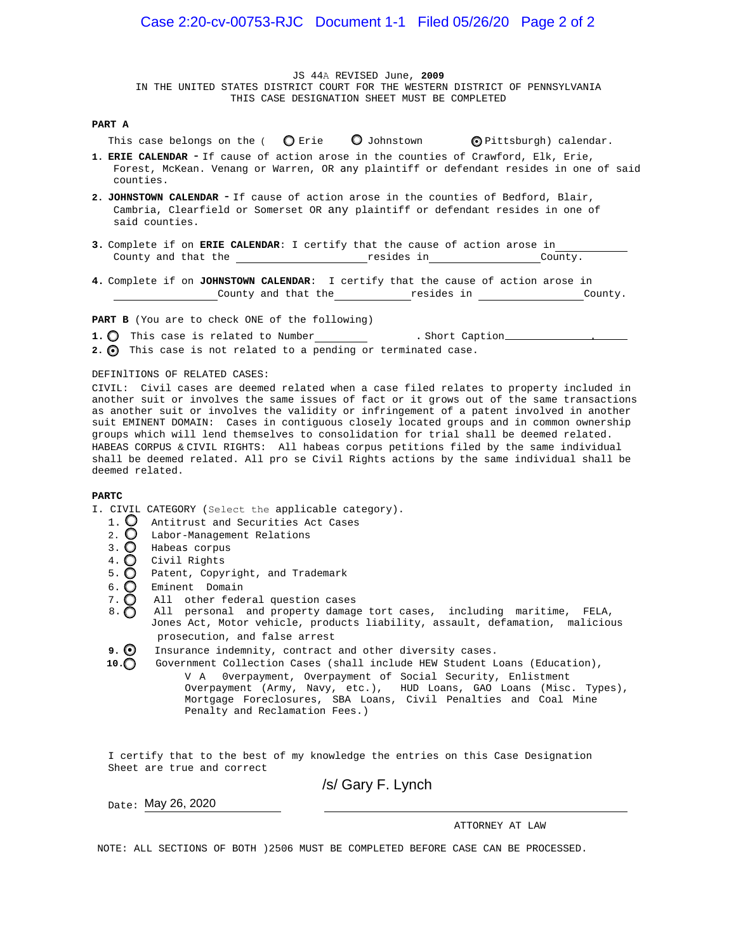JS 44A REVISED June, **2009**  IN THE UNITED STATES DISTRICT COURT FOR THE WESTERN DISTRICT OF PENNSYLVANIA THIS CASE DESIGNATION SHEET MUST BE COMPLETED

#### **PART A**

This case belongs on the (  $\bigcirc$  Erie  $\bigcirc$  Johnstown  $\bigcirc$  Pittsburgh) calendar.

- **1. ERIE CALENDAR** If cause of action arose in the counties of Crawford, Elk, Erie, Forest, McKean. Venang or Warren, OR any plaintiff or defendant resides in one of said counties.
- **2. JOHNSTOWN CALENDAR** If cause of action arose in the counties of Bedford, Blair, Cambria, Clearfield or Somerset OR any plaintiff or defendant resides in one of said counties.
- **3.** Complete if on **ERIE CALENDAR**: I certify that the cause of action arose in County and that the resides in County.
- **4.** Complete if on **JOHNSTOWN CALENDAR**: I certify that the cause of action arose in County and that the resides in County.

**PART B** (You are to check ONE of the following)

1. O This case is related to Number 1. Short Caption 1. Short Caption 2.

2.  $\odot$  This case is not related to a pending or terminated case.

#### DEFINlTIONS OF RELATED CASES:

CIVIL: Civil cases are deemed related when a case filed relates to property included in another suit or involves the same issues of fact or it grows out of the same transactions as another suit or involves the validity or infringement of a patent involved in another suit EMINENT DOMAIN: Cases in contiguous closely located groups and in common ownership groups which will lend themselves to consolidation for trial shall be deemed related. HABEAS CORPUS & CIVIL RIGHTS: All habeas corpus petitions filed by the same individual shall be deemed related. All pro se Civil Rights actions by the same individual shall be deemed related.

#### **PARTC**

I. CIVIL CATEGORY (Select the applicable category).

- 1.  $\bigcirc$  Antitrust and Securities Act Cases
- 2. O Labor-Management Relations
- 3. Habeas corpus
- 4.  $\bigcirc$  Civil Rights<br>5.  $\bigcirc$  Patent, Copy:
- Patent, Copyright, and Trademark
- 
- All other federal question cases
- 6. O Eminent Domain<br>7. O All other fede<br>8. O All personal 8. All personal and property damage tort cases, including maritime, FELA, Jones Act, Motor vehicle, products liability, assault, defamation, malicious prosecution, and false arrest
- **9.** Insurance indemnity, contract and other diversity cases.
- **10.** Government Collection Cases (shall include HEW Student Loans (Education), V A 0verpayment, Overpayment of Social Security, Enlistment Overpayment (Army, Navy, etc.), HUD Loans, GAO Loans (Misc. Types), Mortgage Foreclosures, SBA Loans, Civil Penalties and Coal Mine Penalty and Reclamation Fees.)

I certify that to the best of my knowledge the entries on this Case Designation Sheet are true and correct

#### /s/ Gary F. Lynch

Date: May 26, 2020

ATTORNEY AT LAW

NOTE: ALL SECTIONS OF BOTH ÔŠÞRU MUST BE COMPLETED BEFORE CASE CAN BE PROCESSED.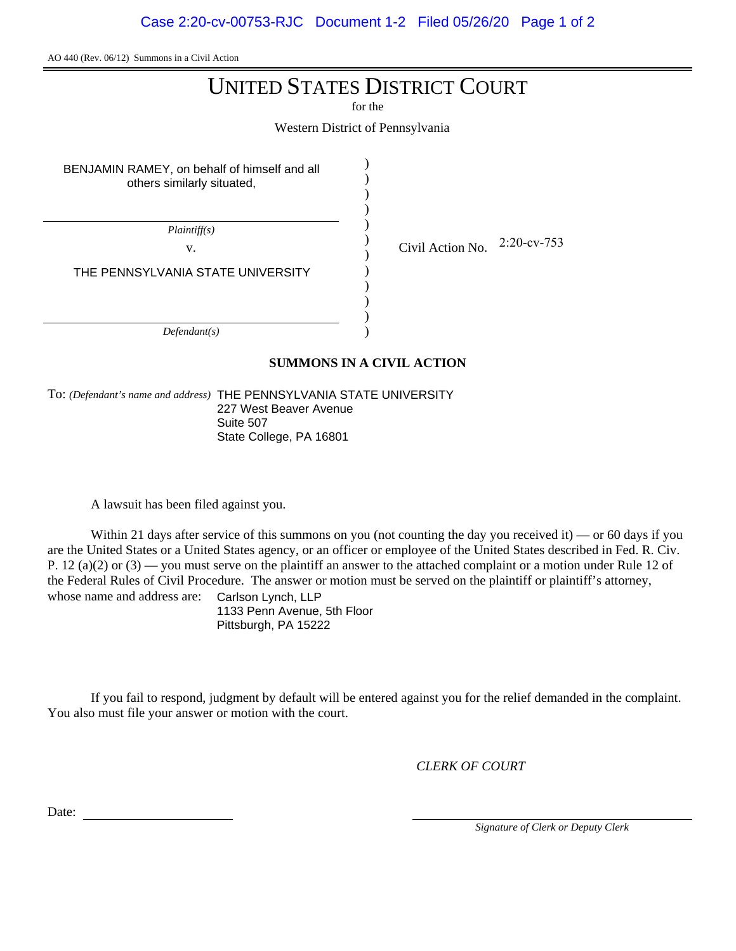AO 440 (Rev. 06/12) Summons in a Civil Action

## UNITED STATES DISTRICT COURT

for the

Western District of Pennsylvania

) ) ) ) ) ) ) ) ) ) ) )

BENJAMIN RAMEY, on behalf of himself and all others similarly situated,

*Plaintiff(s)*

THE PENNSYLVANIA STATE UNIVERSITY

v.  $\qquad \qquad$  Civil Action No.  $2:20$ -cv-753

*Defendant(s)*

### **SUMMONS IN A CIVIL ACTION**

To: *(Defendant's name and address)* THE PENNSYLVANIA STATE UNIVERSITY 227 West Beaver Avenue Suite 507 State College, PA 16801

A lawsuit has been filed against you.

Within 21 days after service of this summons on you (not counting the day you received it) — or 60 days if you are the United States or a United States agency, or an officer or employee of the United States described in Fed. R. Civ. P. 12 (a)(2) or  $(3)$  — you must serve on the plaintiff an answer to the attached complaint or a motion under Rule 12 of the Federal Rules of Civil Procedure. The answer or motion must be served on the plaintiff or plaintiff's attorney, whose name and address are: Carlson Lynch, LLP 1133 Penn Avenue, 5th Floor

Pittsburgh, PA 15222

If you fail to respond, judgment by default will be entered against you for the relief demanded in the complaint. You also must file your answer or motion with the court.

*CLERK OF COURT*

Date:

*Signature of Clerk or Deputy Clerk*